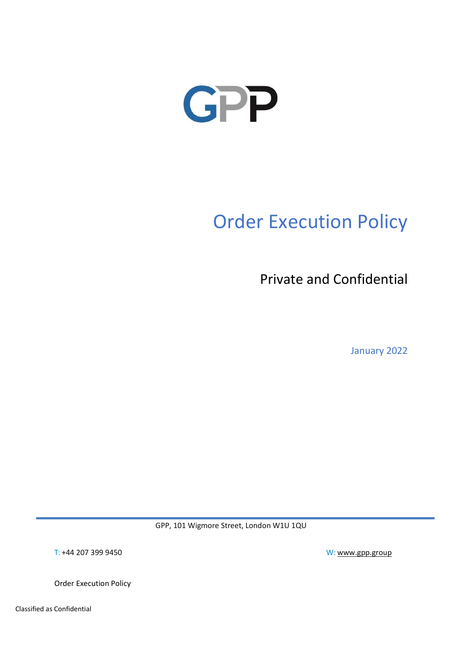

# Order Execution Policy

Private and Confidential

January 2022

GPP, 101 Wigmore Street, London W1U 1QU

T: +44 207 399 9450 W: www.gpp.group

Order Execution Policy

Classified as Confidential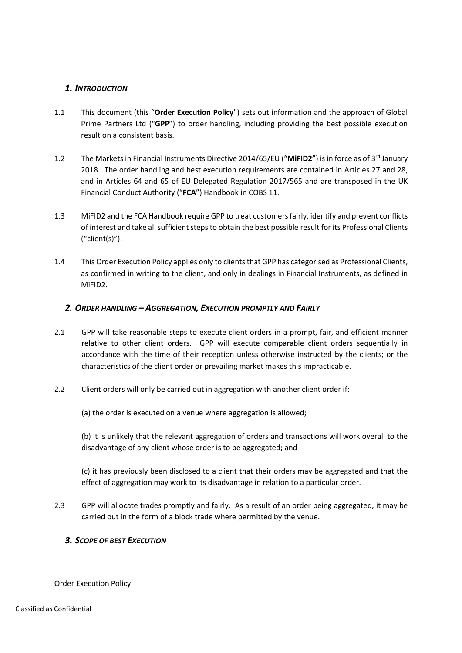# 1. INTRODUCTION

- 1.1 This document (this "Order Execution Policy") sets out information and the approach of Global Prime Partners Ltd ("GPP") to order handling, including providing the best possible execution result on a consistent basis.
- 1.2 The Markets in Financial Instruments Directive 2014/65/EU ("MiFID2") is in force as of 3<sup>rd</sup> January 2018. The order handling and best execution requirements are contained in Articles 27 and 28, and in Articles 64 and 65 of EU Delegated Regulation 2017/565 and are transposed in the UK Financial Conduct Authority ("FCA") Handbook in COBS 11.
- 1.3 MiFID2 and the FCA Handbook require GPP to treat customers fairly, identify and prevent conflicts of interest and take all sufficient steps to obtain the best possible result for its Professional Clients ("client(s)").
- 1.4 This Order Execution Policy applies only to clients that GPP has categorised as Professional Clients, as confirmed in writing to the client, and only in dealings in Financial Instruments, as defined in MiFID2.

# 2. ORDER HANDLING – AGGREGATION, EXECUTION PROMPTLY AND FAIRLY

- 2.1 GPP will take reasonable steps to execute client orders in a prompt, fair, and efficient manner relative to other client orders. GPP will execute comparable client orders sequentially in accordance with the time of their reception unless otherwise instructed by the clients; or the characteristics of the client order or prevailing market makes this impracticable.
- 2.2 Client orders will only be carried out in aggregation with another client order if:

(a) the order is executed on a venue where aggregation is allowed;

(b) it is unlikely that the relevant aggregation of orders and transactions will work overall to the disadvantage of any client whose order is to be aggregated; and

(c) it has previously been disclosed to a client that their orders may be aggregated and that the effect of aggregation may work to its disadvantage in relation to a particular order.

2.3 GPP will allocate trades promptly and fairly. As a result of an order being aggregated, it may be carried out in the form of a block trade where permitted by the venue.

# 3. SCOPE OF BEST EXECUTION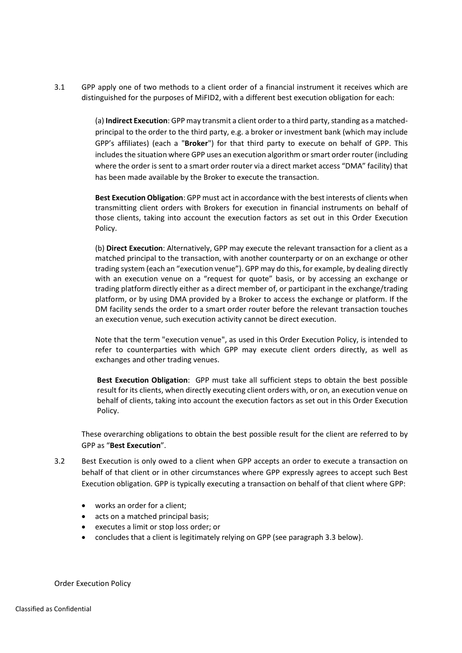3.1 GPP apply one of two methods to a client order of a financial instrument it receives which are distinguished for the purposes of MiFID2, with a different best execution obligation for each:

> (a) Indirect Execution: GPP may transmit a client order to a third party, standing as a matchedprincipal to the order to the third party, e.g. a broker or investment bank (which may include GPP's affiliates) (each a "Broker") for that third party to execute on behalf of GPP. This includes the situation where GPP uses an execution algorithm or smart order router (including where the order is sent to a smart order router via a direct market access "DMA" facility) that has been made available by the Broker to execute the transaction.

> Best Execution Obligation: GPP must act in accordance with the best interests of clients when transmitting client orders with Brokers for execution in financial instruments on behalf of those clients, taking into account the execution factors as set out in this Order Execution Policy.

> (b) Direct Execution: Alternatively, GPP may execute the relevant transaction for a client as a matched principal to the transaction, with another counterparty or on an exchange or other trading system (each an "execution venue"). GPP may do this, for example, by dealing directly with an execution venue on a "request for quote" basis, or by accessing an exchange or trading platform directly either as a direct member of, or participant in the exchange/trading platform, or by using DMA provided by a Broker to access the exchange or platform. If the DM facility sends the order to a smart order router before the relevant transaction touches an execution venue, such execution activity cannot be direct execution.

> Note that the term "execution venue", as used in this Order Execution Policy, is intended to refer to counterparties with which GPP may execute client orders directly, as well as exchanges and other trading venues.

> Best Execution Obligation: GPP must take all sufficient steps to obtain the best possible result for its clients, when directly executing client orders with, or on, an execution venue on behalf of clients, taking into account the execution factors as set out in this Order Execution Policy.

These overarching obligations to obtain the best possible result for the client are referred to by GPP as "Best Execution".

- 3.2 Best Execution is only owed to a client when GPP accepts an order to execute a transaction on behalf of that client or in other circumstances where GPP expressly agrees to accept such Best Execution obligation. GPP is typically executing a transaction on behalf of that client where GPP:
	- works an order for a client;
	- acts on a matched principal basis;
	- executes a limit or stop loss order; or
	- concludes that a client is legitimately relying on GPP (see paragraph 3.3 below).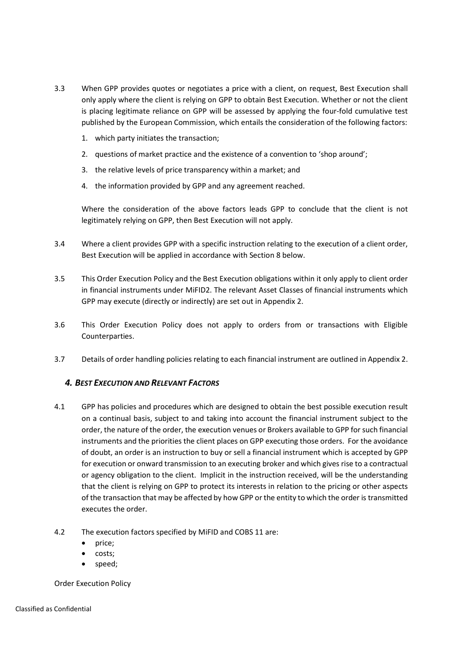- 3.3 When GPP provides quotes or negotiates a price with a client, on request, Best Execution shall only apply where the client is relying on GPP to obtain Best Execution. Whether or not the client is placing legitimate reliance on GPP will be assessed by applying the four-fold cumulative test published by the European Commission, which entails the consideration of the following factors:
	- 1. which party initiates the transaction;
	- 2. questions of market practice and the existence of a convention to 'shop around';
	- 3. the relative levels of price transparency within a market; and
	- 4. the information provided by GPP and any agreement reached.

Where the consideration of the above factors leads GPP to conclude that the client is not legitimately relying on GPP, then Best Execution will not apply.

- 3.4 Where a client provides GPP with a specific instruction relating to the execution of a client order, Best Execution will be applied in accordance with Section 8 below.
- 3.5 This Order Execution Policy and the Best Execution obligations within it only apply to client order in financial instruments under MiFID2. The relevant Asset Classes of financial instruments which GPP may execute (directly or indirectly) are set out in Appendix 2.
- 3.6 This Order Execution Policy does not apply to orders from or transactions with Eligible Counterparties.
- 3.7 Details of order handling policies relating to each financial instrument are outlined in Appendix 2.

# 4. BEST EXECUTION AND RELEVANT FACTORS

- 4.1 GPP has policies and procedures which are designed to obtain the best possible execution result on a continual basis, subject to and taking into account the financial instrument subject to the order, the nature of the order, the execution venues or Brokers available to GPP for such financial instruments and the priorities the client places on GPP executing those orders. For the avoidance of doubt, an order is an instruction to buy or sell a financial instrument which is accepted by GPP for execution or onward transmission to an executing broker and which gives rise to a contractual or agency obligation to the client. Implicit in the instruction received, will be the understanding that the client is relying on GPP to protect its interests in relation to the pricing or other aspects of the transaction that may be affected by how GPP or the entity to which the order is transmitted executes the order.
- 4.2 The execution factors specified by MiFID and COBS 11 are:
	- price;
	- costs:
	- speed;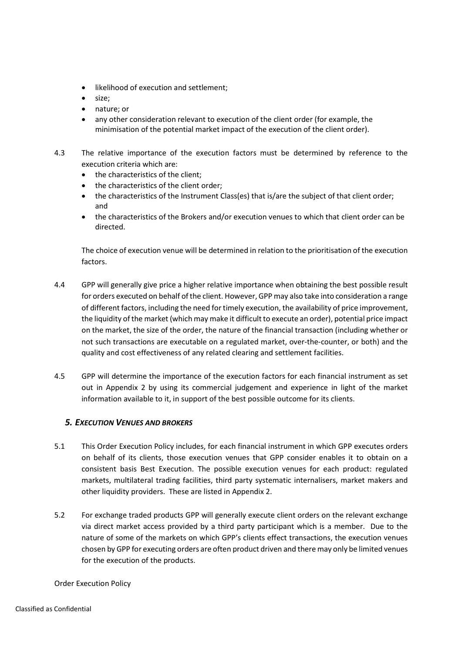- likelihood of execution and settlement;
- size;
- nature; or
- any other consideration relevant to execution of the client order (for example, the minimisation of the potential market impact of the execution of the client order).
- 4.3 The relative importance of the execution factors must be determined by reference to the execution criteria which are:
	- the characteristics of the client:
	- the characteristics of the client order;
	- the characteristics of the Instrument Class(es) that is/are the subject of that client order; and
	- the characteristics of the Brokers and/or execution venues to which that client order can be directed.

The choice of execution venue will be determined in relation to the prioritisation of the execution factors.

- 4.4 GPP will generally give price a higher relative importance when obtaining the best possible result for orders executed on behalf of the client. However, GPP may also take into consideration a range of different factors, including the need for timely execution, the availability of price improvement, the liquidity of the market (which may make it difficult to execute an order), potential price impact on the market, the size of the order, the nature of the financial transaction (including whether or not such transactions are executable on a regulated market, over-the-counter, or both) and the quality and cost effectiveness of any related clearing and settlement facilities.
- 4.5 GPP will determine the importance of the execution factors for each financial instrument as set out in Appendix 2 by using its commercial judgement and experience in light of the market information available to it, in support of the best possible outcome for its clients.

# 5. EXECUTION VENUES AND BROKERS

- 5.1 This Order Execution Policy includes, for each financial instrument in which GPP executes orders on behalf of its clients, those execution venues that GPP consider enables it to obtain on a consistent basis Best Execution. The possible execution venues for each product: regulated markets, multilateral trading facilities, third party systematic internalisers, market makers and other liquidity providers. These are listed in Appendix 2.
- 5.2 For exchange traded products GPP will generally execute client orders on the relevant exchange via direct market access provided by a third party participant which is a member. Due to the nature of some of the markets on which GPP's clients effect transactions, the execution venues chosen by GPP for executing orders are often product driven and there may only be limited venues for the execution of the products.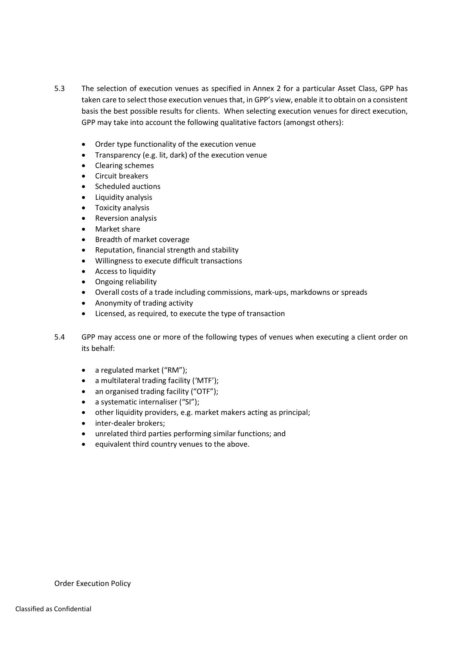- 5.3 The selection of execution venues as specified in Annex 2 for a particular Asset Class, GPP has taken care to select those execution venues that, in GPP's view, enable it to obtain on a consistent basis the best possible results for clients. When selecting execution venues for direct execution, GPP may take into account the following qualitative factors (amongst others):
	- Order type functionality of the execution venue
	- Transparency (e.g. lit, dark) of the execution venue
	- Clearing schemes
	- Circuit breakers
	- Scheduled auctions
	- Liquidity analysis
	- Toxicity analysis
	- Reversion analysis
	- Market share
	- Breadth of market coverage
	- Reputation, financial strength and stability
	- Willingness to execute difficult transactions
	- Access to liquidity
	- Ongoing reliability
	- Overall costs of a trade including commissions, mark-ups, markdowns or spreads
	- Anonymity of trading activity
	- Licensed, as required, to execute the type of transaction
- 5.4 GPP may access one or more of the following types of venues when executing a client order on its behalf:
	- a regulated market ("RM");
	- a multilateral trading facility ('MTF');
	- an organised trading facility ("OTF");
	- a systematic internaliser ("SI");
	- other liquidity providers, e.g. market makers acting as principal;
	- inter-dealer brokers:
	- unrelated third parties performing similar functions; and
	- equivalent third country venues to the above.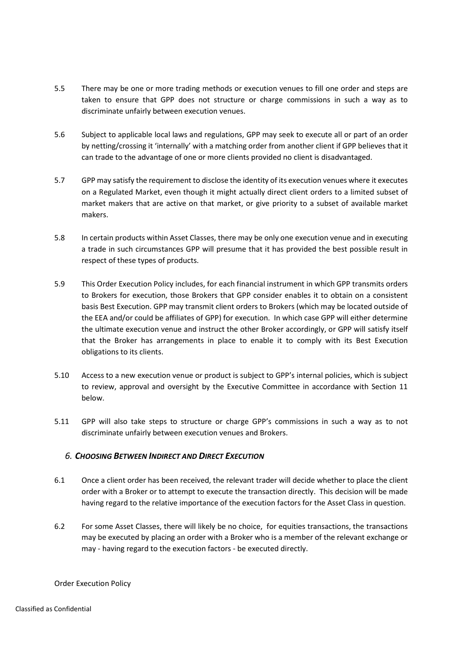- 5.5 There may be one or more trading methods or execution venues to fill one order and steps are taken to ensure that GPP does not structure or charge commissions in such a way as to discriminate unfairly between execution venues.
- 5.6 Subject to applicable local laws and regulations, GPP may seek to execute all or part of an order by netting/crossing it 'internally' with a matching order from another client if GPP believes that it can trade to the advantage of one or more clients provided no client is disadvantaged.
- 5.7 GPP may satisfy the requirement to disclose the identity of its execution venues where it executes on a Regulated Market, even though it might actually direct client orders to a limited subset of market makers that are active on that market, or give priority to a subset of available market makers.
- 5.8 In certain products within Asset Classes, there may be only one execution venue and in executing a trade in such circumstances GPP will presume that it has provided the best possible result in respect of these types of products.
- 5.9 This Order Execution Policy includes, for each financial instrument in which GPP transmits orders to Brokers for execution, those Brokers that GPP consider enables it to obtain on a consistent basis Best Execution. GPP may transmit client orders to Brokers (which may be located outside of the EEA and/or could be affiliates of GPP) for execution. In which case GPP will either determine the ultimate execution venue and instruct the other Broker accordingly, or GPP will satisfy itself that the Broker has arrangements in place to enable it to comply with its Best Execution obligations to its clients.
- 5.10 Access to a new execution venue or product is subject to GPP's internal policies, which is subject to review, approval and oversight by the Executive Committee in accordance with Section 11 below.
- 5.11 GPP will also take steps to structure or charge GPP's commissions in such a way as to not discriminate unfairly between execution venues and Brokers.

# 6. CHOOSING BETWEEN INDIRECT AND DIRECT EXECUTION

- 6.1 Once a client order has been received, the relevant trader will decide whether to place the client order with a Broker or to attempt to execute the transaction directly. This decision will be made having regard to the relative importance of the execution factors for the Asset Class in question.
- 6.2 For some Asset Classes, there will likely be no choice, for equities transactions, the transactions may be executed by placing an order with a Broker who is a member of the relevant exchange or may - having regard to the execution factors - be executed directly.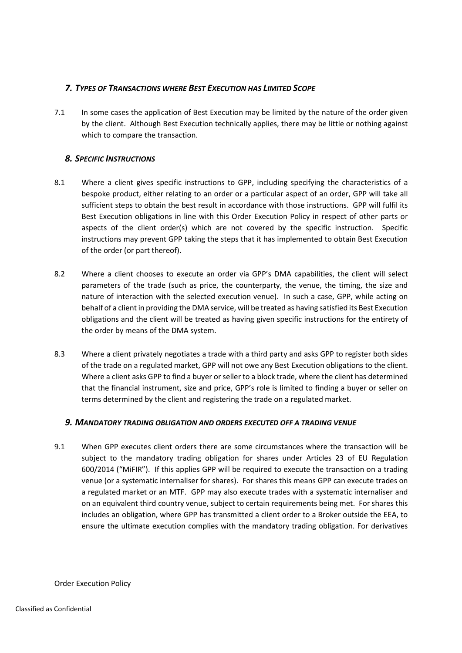# 7. TYPES OF TRANSACTIONS WHERE BEST EXECUTION HAS LIMITED SCOPE

7.1 In some cases the application of Best Execution may be limited by the nature of the order given by the client. Although Best Execution technically applies, there may be little or nothing against which to compare the transaction.

# 8. SPECIFIC INSTRUCTIONS

- 8.1 Where a client gives specific instructions to GPP, including specifying the characteristics of a bespoke product, either relating to an order or a particular aspect of an order, GPP will take all sufficient steps to obtain the best result in accordance with those instructions. GPP will fulfil its Best Execution obligations in line with this Order Execution Policy in respect of other parts or aspects of the client order(s) which are not covered by the specific instruction. Specific instructions may prevent GPP taking the steps that it has implemented to obtain Best Execution of the order (or part thereof).
- 8.2 Where a client chooses to execute an order via GPP's DMA capabilities, the client will select parameters of the trade (such as price, the counterparty, the venue, the timing, the size and nature of interaction with the selected execution venue). In such a case, GPP, while acting on behalf of a client in providing the DMA service, will be treated as having satisfied its Best Execution obligations and the client will be treated as having given specific instructions for the entirety of the order by means of the DMA system.
- 8.3 Where a client privately negotiates a trade with a third party and asks GPP to register both sides of the trade on a regulated market, GPP will not owe any Best Execution obligations to the client. Where a client asks GPP to find a buyer or seller to a block trade, where the client has determined that the financial instrument, size and price, GPP's role is limited to finding a buyer or seller on terms determined by the client and registering the trade on a regulated market.

# 9. MANDATORY TRADING OBLIGATION AND ORDERS EXECUTED OFF A TRADING VENUE

9.1 When GPP executes client orders there are some circumstances where the transaction will be subject to the mandatory trading obligation for shares under Articles 23 of EU Regulation 600/2014 ("MiFIR"). If this applies GPP will be required to execute the transaction on a trading venue (or a systematic internaliser for shares). For shares this means GPP can execute trades on a regulated market or an MTF. GPP may also execute trades with a systematic internaliser and on an equivalent third country venue, subject to certain requirements being met. For shares this includes an obligation, where GPP has transmitted a client order to a Broker outside the EEA, to ensure the ultimate execution complies with the mandatory trading obligation. For derivatives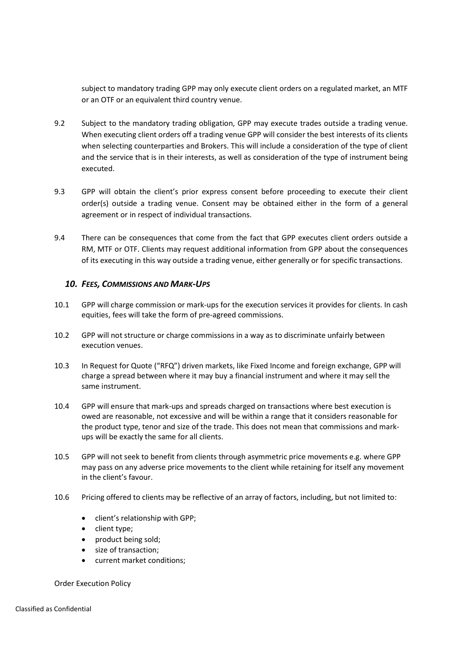subject to mandatory trading GPP may only execute client orders on a regulated market, an MTF or an OTF or an equivalent third country venue.

- 9.2 Subject to the mandatory trading obligation, GPP may execute trades outside a trading venue. When executing client orders off a trading venue GPP will consider the best interests of its clients when selecting counterparties and Brokers. This will include a consideration of the type of client and the service that is in their interests, as well as consideration of the type of instrument being executed.
- 9.3 GPP will obtain the client's prior express consent before proceeding to execute their client order(s) outside a trading venue. Consent may be obtained either in the form of a general agreement or in respect of individual transactions.
- 9.4 There can be consequences that come from the fact that GPP executes client orders outside a RM, MTF or OTF. Clients may request additional information from GPP about the consequences of its executing in this way outside a trading venue, either generally or for specific transactions.

#### 10. FEES, COMMISSIONS AND MARK-UPS

- 10.1 GPP will charge commission or mark-ups for the execution services it provides for clients. In cash equities, fees will take the form of pre-agreed commissions.
- 10.2 GPP will not structure or charge commissions in a way as to discriminate unfairly between execution venues.
- 10.3 In Request for Quote ("RFQ") driven markets, like Fixed Income and foreign exchange, GPP will charge a spread between where it may buy a financial instrument and where it may sell the same instrument.
- 10.4 GPP will ensure that mark-ups and spreads charged on transactions where best execution is owed are reasonable, not excessive and will be within a range that it considers reasonable for the product type, tenor and size of the trade. This does not mean that commissions and markups will be exactly the same for all clients.
- 10.5 GPP will not seek to benefit from clients through asymmetric price movements e.g. where GPP may pass on any adverse price movements to the client while retaining for itself any movement in the client's favour.
- 10.6 Pricing offered to clients may be reflective of an array of factors, including, but not limited to:
	- client's relationship with GPP;
	- client type;
	- product being sold:
	- size of transaction;
	- current market conditions;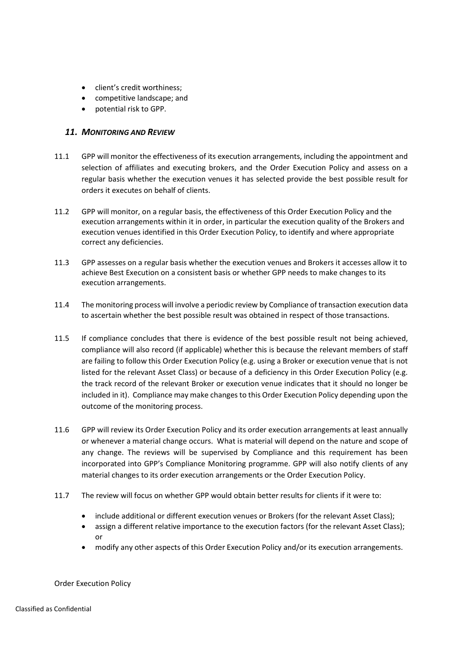- client's credit worthiness;
- competitive landscape; and
- potential risk to GPP.

#### 11. MONITORING AND REVIEW

- 11.1 GPP will monitor the effectiveness of its execution arrangements, including the appointment and selection of affiliates and executing brokers, and the Order Execution Policy and assess on a regular basis whether the execution venues it has selected provide the best possible result for orders it executes on behalf of clients.
- 11.2 GPP will monitor, on a regular basis, the effectiveness of this Order Execution Policy and the execution arrangements within it in order, in particular the execution quality of the Brokers and execution venues identified in this Order Execution Policy, to identify and where appropriate correct any deficiencies.
- 11.3 GPP assesses on a regular basis whether the execution venues and Brokers it accesses allow it to achieve Best Execution on a consistent basis or whether GPP needs to make changes to its execution arrangements.
- 11.4 The monitoring process will involve a periodic review by Compliance of transaction execution data to ascertain whether the best possible result was obtained in respect of those transactions.
- 11.5 If compliance concludes that there is evidence of the best possible result not being achieved, compliance will also record (if applicable) whether this is because the relevant members of staff are failing to follow this Order Execution Policy (e.g. using a Broker or execution venue that is not listed for the relevant Asset Class) or because of a deficiency in this Order Execution Policy (e.g. the track record of the relevant Broker or execution venue indicates that it should no longer be included in it). Compliance may make changes to this Order Execution Policy depending upon the outcome of the monitoring process.
- 11.6 GPP will review its Order Execution Policy and its order execution arrangements at least annually or whenever a material change occurs. What is material will depend on the nature and scope of any change. The reviews will be supervised by Compliance and this requirement has been incorporated into GPP's Compliance Monitoring programme. GPP will also notify clients of any material changes to its order execution arrangements or the Order Execution Policy.
- 11.7 The review will focus on whether GPP would obtain better results for clients if it were to:
	- include additional or different execution venues or Brokers (for the relevant Asset Class);
	- assign a different relative importance to the execution factors (for the relevant Asset Class); or
	- modify any other aspects of this Order Execution Policy and/or its execution arrangements.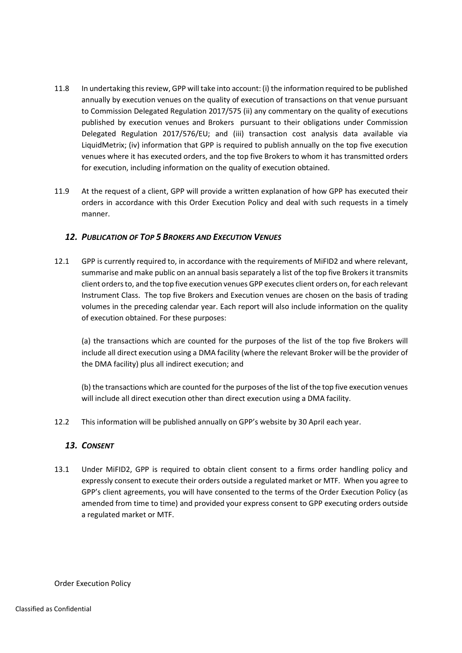- 11.8 In undertaking this review, GPP will take into account: (i) the information required to be published annually by execution venues on the quality of execution of transactions on that venue pursuant to Commission Delegated Regulation 2017/575 (ii) any commentary on the quality of executions published by execution venues and Brokers pursuant to their obligations under Commission Delegated Regulation 2017/576/EU; and (iii) transaction cost analysis data available via LiquidMetrix; (iv) information that GPP is required to publish annually on the top five execution venues where it has executed orders, and the top five Brokers to whom it has transmitted orders for execution, including information on the quality of execution obtained.
- 11.9 At the request of a client, GPP will provide a written explanation of how GPP has executed their orders in accordance with this Order Execution Policy and deal with such requests in a timely manner.

# 12. PUBLICATION OF TOP 5 BROKERS AND EXECUTION VENUES

12.1 GPP is currently required to, in accordance with the requirements of MiFID2 and where relevant, summarise and make public on an annual basis separately a list of the top five Brokers it transmits client orders to, and the top five execution venues GPP executes client orders on, for each relevant Instrument Class. The top five Brokers and Execution venues are chosen on the basis of trading volumes in the preceding calendar year. Each report will also include information on the quality of execution obtained. For these purposes:

(a) the transactions which are counted for the purposes of the list of the top five Brokers will include all direct execution using a DMA facility (where the relevant Broker will be the provider of the DMA facility) plus all indirect execution; and

(b) the transactions which are counted for the purposes of the list of the top five execution venues will include all direct execution other than direct execution using a DMA facility.

12.2 This information will be published annually on GPP's website by 30 April each year.

# 13. CONSENT

13.1 Under MiFID2, GPP is required to obtain client consent to a firms order handling policy and expressly consent to execute their orders outside a regulated market or MTF. When you agree to GPP's client agreements, you will have consented to the terms of the Order Execution Policy (as amended from time to time) and provided your express consent to GPP executing orders outside a regulated market or MTF.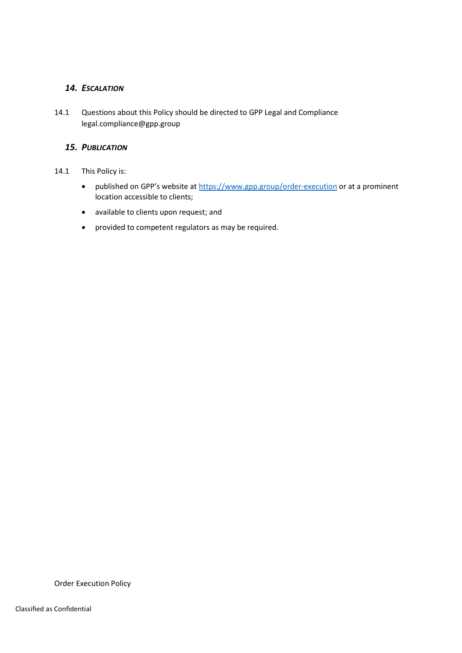# 14. ESCALATION

14.1 Questions about this Policy should be directed to GPP Legal and Compliance legal.compliance@gpp.group

# 15. PUBLICATION

- 14.1 This Policy is:
	- published on GPP's website at https://www.gpp.group/order-execution or at a prominent location accessible to clients;
	- available to clients upon request; and
	- provided to competent regulators as may be required.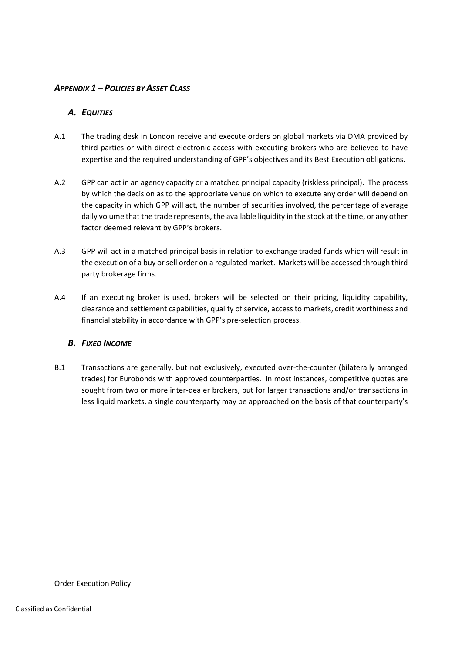# APPENDIX 1 – POLICIES BY ASSET CLASS

# A. EQUITIES

- A.1 The trading desk in London receive and execute orders on global markets via DMA provided by third parties or with direct electronic access with executing brokers who are believed to have expertise and the required understanding of GPP's objectives and its Best Execution obligations.
- A.2 GPP can act in an agency capacity or a matched principal capacity (riskless principal). The process by which the decision as to the appropriate venue on which to execute any order will depend on the capacity in which GPP will act, the number of securities involved, the percentage of average daily volume that the trade represents, the available liquidity in the stock at the time, or any other factor deemed relevant by GPP's brokers.
- A.3 GPP will act in a matched principal basis in relation to exchange traded funds which will result in the execution of a buy or sell order on a regulated market. Markets will be accessed through third party brokerage firms.
- A.4 If an executing broker is used, brokers will be selected on their pricing, liquidity capability, clearance and settlement capabilities, quality of service, access to markets, credit worthiness and financial stability in accordance with GPP's pre-selection process.

# B. FIXED INCOME

B.1 Transactions are generally, but not exclusively, executed over-the-counter (bilaterally arranged trades) for Eurobonds with approved counterparties. In most instances, competitive quotes are sought from two or more inter-dealer brokers, but for larger transactions and/or transactions in less liquid markets, a single counterparty may be approached on the basis of that counterparty's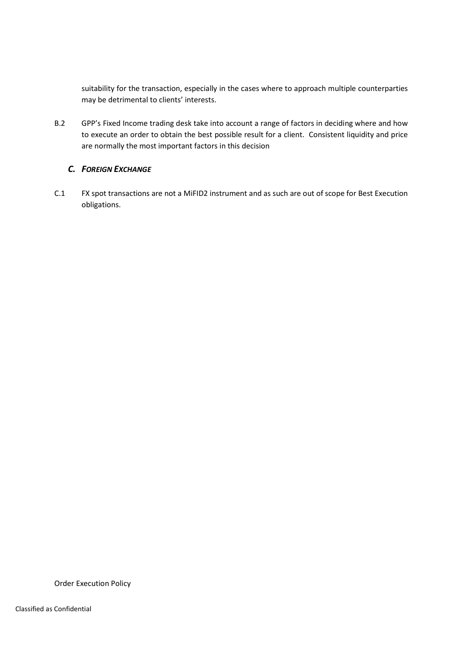suitability for the transaction, especially in the cases where to approach multiple counterparties may be detrimental to clients' interests.

B.2 GPP's Fixed Income trading desk take into account a range of factors in deciding where and how to execute an order to obtain the best possible result for a client. Consistent liquidity and price are normally the most important factors in this decision

# C. FOREIGN EXCHANGE

C.1 FX spot transactions are not a MiFID2 instrument and as such are out of scope for Best Execution obligations.